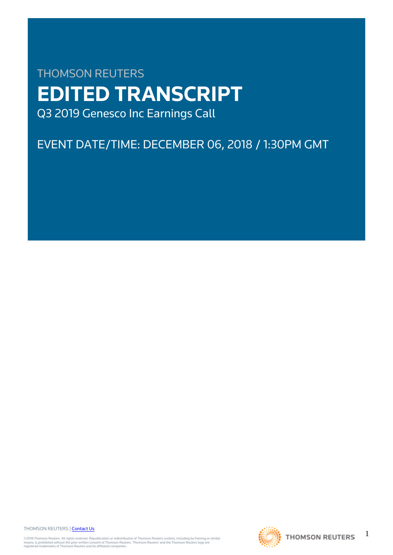# THOMSON REUTERS **EDITED TRANSCRIPT** Q3 2019 Genesco Inc Earnings Call

EVENT DATE/TIME: DECEMBER 06, 2018 / 1:30PM GMT

THOMSON REUTERS | [Contact Us](https://my.thomsonreuters.com/ContactUsNew)

©2018 Thomson Reuters. All rights reserved. Republication or redistribution of Thomson Reuters content, including by framing or similar<br>means, is prohibited without the prior written consent of Thomson Reuters. "Thomson Re



1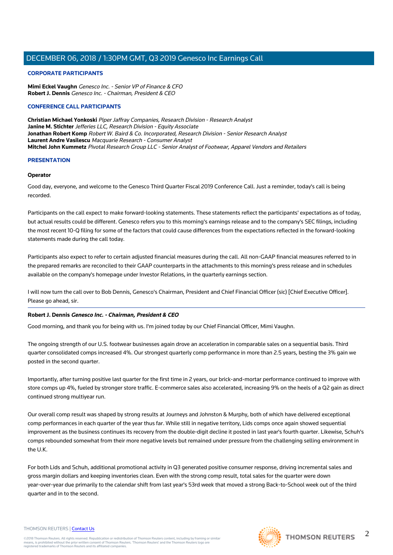## **CORPORATE PARTICIPANTS**

**Mimi Eckel Vaughn** Genesco Inc. - Senior VP of Finance & CFO **Robert J. Dennis** Genesco Inc. - Chairman, President & CEO

## **CONFERENCE CALL PARTICIPANTS**

**Christian Michael Yonkoski** Piper Jaffray Companies, Research Division - Research Analyst **Janine M. Stichter** Jefferies LLC, Research Division - Equity Associate **Jonathan Robert Komp** Robert W. Baird & Co. Incorporated, Research Division - Senior Research Analyst **Laurent Andre Vasilescu** Macquarie Research - Consumer Analyst **Mitchel John Kummetz** Pivotal Research Group LLC - Senior Analyst of Footwear, Apparel Vendors and Retailers

## **PRESENTATION**

#### **Operator**

Good day, everyone, and welcome to the Genesco Third Quarter Fiscal 2019 Conference Call. Just a reminder, today's call is being recorded.

Participants on the call expect to make forward-looking statements. These statements reflect the participants' expectations as of today, but actual results could be different. Genesco refers you to this morning's earnings release and to the company's SEC filings, including the most recent 10-Q filing for some of the factors that could cause differences from the expectations reflected in the forward-looking statements made during the call today.

Participants also expect to refer to certain adjusted financial measures during the call. All non-GAAP financial measures referred to in the prepared remarks are reconciled to their GAAP counterparts in the attachments to this morning's press release and in schedules available on the company's homepage under Investor Relations, in the quarterly earnings section.

I will now turn the call over to Bob Dennis, Genesco's Chairman, President and Chief Financial Officer (sic) [Chief Executive Officer]. Please go ahead, sir.

# **Robert J. Dennis Genesco Inc. - Chairman, President & CEO**

Good morning, and thank you for being with us. I'm joined today by our Chief Financial Officer, Mimi Vaughn.

The ongoing strength of our U.S. footwear businesses again drove an acceleration in comparable sales on a sequential basis. Third quarter consolidated comps increased 4%. Our strongest quarterly comp performance in more than 2.5 years, besting the 3% gain we posted in the second quarter.

Importantly, after turning positive last quarter for the first time in 2 years, our brick-and-mortar performance continued to improve with store comps up 4%, fueled by stronger store traffic. E-commerce sales also accelerated, increasing 9% on the heels of a Q2 gain as direct continued strong multiyear run.

Our overall comp result was shaped by strong results at Journeys and Johnston & Murphy, both of which have delivered exceptional comp performances in each quarter of the year thus far. While still in negative territory, Lids comps once again showed sequential improvement as the business continues its recovery from the double-digit decline it posted in last year's fourth quarter. Likewise, Schuh's comps rebounded somewhat from their more negative levels but remained under pressure from the challenging selling environment in the U.K.

For both Lids and Schuh, additional promotional activity in Q3 generated positive consumer response, driving incremental sales and gross margin dollars and keeping inventories clean. Even with the strong comp result, total sales for the quarter were down year-over-year due primarily to the calendar shift from last year's 53rd week that moved a strong Back-to-School week out of the third quarter and in to the second.

#### THOMSON REUTERS | [Contact Us](https://my.thomsonreuters.com/ContactUsNew)

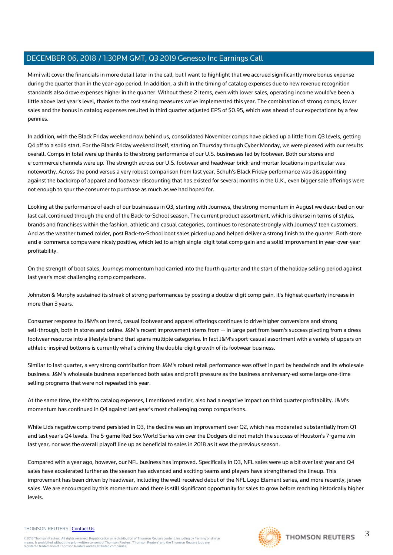Mimi will cover the financials in more detail later in the call, but I want to highlight that we accrued significantly more bonus expense during the quarter than in the year-ago period. In addition, a shift in the timing of catalog expenses due to new revenue recognition standards also drove expenses higher in the quarter. Without these 2 items, even with lower sales, operating income would've been a little above last year's level, thanks to the cost saving measures we've implemented this year. The combination of strong comps, lower sales and the bonus in catalog expenses resulted in third quarter adjusted EPS of \$0.95, which was ahead of our expectations by a few pennies.

In addition, with the Black Friday weekend now behind us, consolidated November comps have picked up a little from Q3 levels, getting Q4 off to a solid start. For the Black Friday weekend itself, starting on Thursday through Cyber Monday, we were pleased with our results overall. Comps in total were up thanks to the strong performance of our U.S. businesses led by footwear. Both our stores and e-commerce channels were up. The strength across our U.S. footwear and headwear brick-and-mortar locations in particular was noteworthy. Across the pond versus a very robust comparison from last year, Schuh's Black Friday performance was disappointing against the backdrop of apparel and footwear discounting that has existed for several months in the U.K., even bigger sale offerings were not enough to spur the consumer to purchase as much as we had hoped for.

Looking at the performance of each of our businesses in Q3, starting with Journeys, the strong momentum in August we described on our last call continued through the end of the Back-to-School season. The current product assortment, which is diverse in terms of styles, brands and franchises within the fashion, athletic and casual categories, continues to resonate strongly with Journeys' teen customers. And as the weather turned colder, post Back-to-School boot sales picked up and helped deliver a strong finish to the quarter. Both store and e-commerce comps were nicely positive, which led to a high single-digit total comp gain and a solid improvement in year-over-year profitability.

On the strength of boot sales, Journeys momentum had carried into the fourth quarter and the start of the holiday selling period against last year's most challenging comp comparisons.

Johnston & Murphy sustained its streak of strong performances by posting a double-digit comp gain, it's highest quarterly increase in more than 3 years.

Consumer response to J&M's on trend, casual footwear and apparel offerings continues to drive higher conversions and strong sell-through, both in stores and online. J&M's recent improvement stems from -- in large part from team's success pivoting from a dress footwear resource into a lifestyle brand that spans multiple categories. In fact J&M's sport-casual assortment with a variety of uppers on athletic-inspired bottoms is currently what's driving the double-digit growth of its footwear business.

Similar to last quarter, a very strong contribution from J&M's robust retail performance was offset in part by headwinds and its wholesale business. J&M's wholesale business experienced both sales and profit pressure as the business anniversary-ed some large one-time selling programs that were not repeated this year.

At the same time, the shift to catalog expenses, I mentioned earlier, also had a negative impact on third quarter profitability. J&M's momentum has continued in Q4 against last year's most challenging comp comparisons.

While Lids negative comp trend persisted in Q3, the decline was an improvement over Q2, which has moderated substantially from Q1 and last year's Q4 levels. The 5-game Red Sox World Series win over the Dodgers did not match the success of Houston's 7-game win last year, nor was the overall playoff line up as beneficial to sales in 2018 as it was the previous season.

Compared with a year ago, however, our NFL business has improved. Specifically in Q3, NFL sales were up a bit over last year and Q4 sales have accelerated further as the season has advanced and exciting teams and players have strengthened the lineup. This improvement has been driven by headwear, including the well-received debut of the NFL Logo Element series, and more recently, jersey sales. We are encouraged by this momentum and there is still significant opportunity for sales to grow before reaching historically higher levels.

#### THOMSON REUTERS | [Contact Us](https://my.thomsonreuters.com/ContactUsNew)

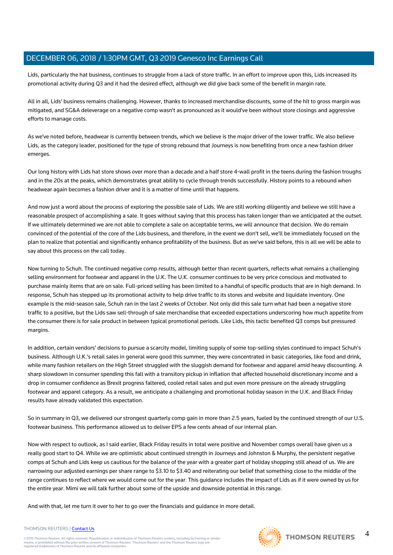Lids, particularly the hat business, continues to struggle from a lack of store traffic. In an effort to improve upon this, Lids increased its promotional activity during Q3 and it had the desired effect, although we did give back some of the benefit in margin rate.

All in all, Lids' business remains challenging. However, thanks to increased merchandise discounts, some of the hit to gross margin was mitigated, and SG&A deleverage on a negative comp wasn't as pronounced as it would've been without store closings and aggressive efforts to manage costs.

As we've noted before, headwear is currently between trends, which we believe is the major driver of the lower traffic. We also believe Lids, as the category leader, positioned for the type of strong rebound that Journeys is now benefiting from once a new fashion driver emerges.

Our long history with Lids hat store shows over more than a decade and a half store 4-wall profit in the teens during the fashion troughs and in the 20s at the peaks, which demonstrates great ability to cycle through trends successfully. History points to a rebound when headwear again becomes a fashion driver and it is a matter of time until that happens.

And now just a word about the process of exploring the possible sale of Lids. We are still working diligently and believe we still have a reasonable prospect of accomplishing a sale. It goes without saying that this process has taken longer than we anticipated at the outset. If we ultimately determined we are not able to complete a sale on acceptable terms, we will announce that decision. We do remain convinced of the potential of the core of the Lids business, and therefore, in the event we don't sell, we'll be immediately focused on the plan to realize that potential and significantly enhance profitability of the business. But as we've said before, this is all we will be able to say about this process on the call today.

Now turning to Schuh. The continued negative comp results, although better than recent quarters, reflects what remains a challenging selling environment for footwear and apparel in the U.K. The U.K. consumer continues to be very price conscious and motivated to purchase mainly items that are on sale. Full-priced selling has been limited to a handful of specific products that are in high demand. In response, Schuh has stepped up its promotional activity to help drive traffic to its stores and website and liquidate inventory. One example is the mid-season sale, Schuh ran in the last 2 weeks of October. Not only did this sale turn what had been a negative store traffic to a positive, but the Lids saw sell-through of sale merchandise that exceeded expectations underscoring how much appetite from the consumer there is for sale product in between typical promotional periods. Like Lids, this tactic benefited Q3 comps but pressured margins.

In addition, certain vendors' decisions to pursue a scarcity model, limiting supply of some top-selling styles continued to impact Schuh's business. Although U.K.'s retail sales in general were good this summer, they were concentrated in basic categories, like food and drink, while many fashion retailers on the High Street struggled with the sluggish demand for footwear and apparel amid heavy discounting. A sharp slowdown in consumer spending this fall with a transitory pickup in inflation that affected household discretionary income and a drop in consumer confidence as Brexit progress faltered, cooled retail sales and put even more pressure on the already struggling footwear and apparel category. As a result, we anticipate a challenging and promotional holiday season in the U.K. and Black Friday results have already validated this expectation.

So in summary in Q3, we delivered our strongest quarterly comp gain in more than 2.5 years, fueled by the continued strength of our U.S. footwear business. This performance allowed us to deliver EPS a few cents ahead of our internal plan.

Now with respect to outlook, as I said earlier, Black Friday results in total were positive and November comps overall have given us a really good start to Q4. While we are optimistic about continued strength in Journeys and Johnston & Murphy, the persistent negative comps at Schuh and Lids keep us cautious for the balance of the year with a greater part of holiday shopping still ahead of us. We are narrowing our adjusted earnings per share range to \$3.10 to \$3.40 and reiterating our belief that something close to the middle of the range continues to reflect where we would come out for the year. This guidance includes the impact of Lids as if it were owned by us for the entire year. Mimi we will talk further about some of the upside and downside potential in this range.

And with that, let me turn it over to her to go over the financials and guidance in more detail.



## THOMSON REUTERS | [Contact Us](https://my.thomsonreuters.com/ContactUsNew)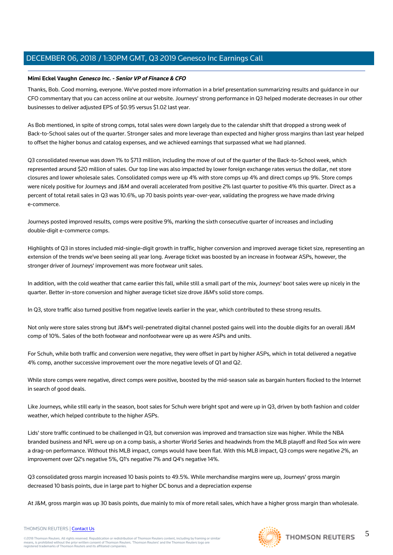# **Mimi Eckel Vaughn Genesco Inc. - Senior VP of Finance & CFO**

Thanks, Bob. Good morning, everyone. We've posted more information in a brief presentation summarizing results and guidance in our CFO commentary that you can access online at our website. Journeys' strong performance in Q3 helped moderate decreases in our other businesses to deliver adjusted EPS of \$0.95 versus \$1.02 last year.

As Bob mentioned, in spite of strong comps, total sales were down largely due to the calendar shift that dropped a strong week of Back-to-School sales out of the quarter. Stronger sales and more leverage than expected and higher gross margins than last year helped to offset the higher bonus and catalog expenses, and we achieved earnings that surpassed what we had planned.

Q3 consolidated revenue was down 1% to \$713 million, including the move of out of the quarter of the Back-to-School week, which represented around \$20 million of sales. Our top line was also impacted by lower foreign exchange rates versus the dollar, net store closures and lower wholesale sales. Consolidated comps were up 4% with store comps up 4% and direct comps up 9%. Store comps were nicely positive for Journeys and J&M and overall accelerated from positive 2% last quarter to positive 4% this quarter. Direct as a percent of total retail sales in Q3 was 10.6%, up 70 basis points year-over-year, validating the progress we have made driving e-commerce.

Journeys posted improved results, comps were positive 9%, marking the sixth consecutive quarter of increases and including double-digit e-commerce comps.

Highlights of Q3 in stores included mid-single-digit growth in traffic, higher conversion and improved average ticket size, representing an extension of the trends we've been seeing all year long. Average ticket was boosted by an increase in footwear ASPs, however, the stronger driver of Journeys' improvement was more footwear unit sales.

In addition, with the cold weather that came earlier this fall, while still a small part of the mix, Journeys' boot sales were up nicely in the quarter. Better in-store conversion and higher average ticket size drove J&M's solid store comps.

In Q3, store traffic also turned positive from negative levels earlier in the year, which contributed to these strong results.

Not only were store sales strong but J&M's well-penetrated digital channel posted gains well into the double digits for an overall J&M comp of 10%. Sales of the both footwear and nonfootwear were up as were ASPs and units.

For Schuh, while both traffic and conversion were negative, they were offset in part by higher ASPs, which in total delivered a negative 4% comp, another successive improvement over the more negative levels of Q1 and Q2.

While store comps were negative, direct comps were positive, boosted by the mid-season sale as bargain hunters flocked to the Internet in search of good deals.

Like Journeys, while still early in the season, boot sales for Schuh were bright spot and were up in Q3, driven by both fashion and colder weather, which helped contribute to the higher ASPs.

Lids' store traffic continued to be challenged in Q3, but conversion was improved and transaction size was higher. While the NBA branded business and NFL were up on a comp basis, a shorter World Series and headwinds from the MLB playoff and Red Sox win were a drag-on performance. Without this MLB impact, comps would have been flat. With this MLB impact, Q3 comps were negative 2%, an improvement over Q2's negative 5%, Q1's negative 7% and Q4's negative 14%.

Q3 consolidated gross margin increased 10 basis points to 49.5%. While merchandise margins were up, Journeys' gross margin decreased 10 basis points, due in large part to higher DC bonus and a depreciation expense

At J&M, gross margin was up 30 basis points, due mainly to mix of more retail sales, which have a higher gross margin than wholesale.



THOMSON REUTERS | [Contact Us](https://my.thomsonreuters.com/ContactUsNew)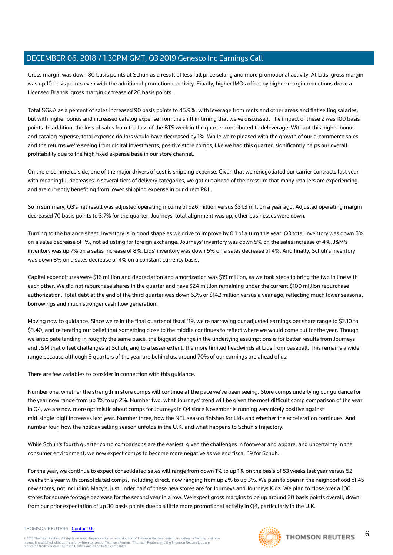Gross margin was down 80 basis points at Schuh as a result of less full price selling and more promotional activity. At Lids, gross margin was up 10 basis points even with the additional promotional activity. Finally, higher IMOs offset by higher-margin reductions drove a Licensed Brands' gross margin decrease of 20 basis points.

Total SG&A as a percent of sales increased 90 basis points to 45.9%, with leverage from rents and other areas and flat selling salaries, but with higher bonus and increased catalog expense from the shift in timing that we've discussed. The impact of these 2 was 100 basis points. In addition, the loss of sales from the loss of the BTS week in the quarter contributed to deleverage. Without this higher bonus and catalog expense, total expense dollars would have decreased by 1%. While we're pleased with the growth of our e-commerce sales and the returns we're seeing from digital investments, positive store comps, like we had this quarter, significantly helps our overall profitability due to the high fixed expense base in our store channel.

On the e-commerce side, one of the major drivers of cost is shipping expense. Given that we renegotiated our carrier contracts last year with meaningful decreases in several tiers of delivery categories, we got out ahead of the pressure that many retailers are experiencing and are currently benefiting from lower shipping expense in our direct P&L.

So in summary, Q3's net result was adjusted operating income of \$26 million versus \$31.3 million a year ago. Adjusted operating margin decreased 70 basis points to 3.7% for the quarter, Journeys' total alignment was up, other businesses were down.

Turning to the balance sheet. Inventory is in good shape as we drive to improve by 0.1 of a turn this year. Q3 total inventory was down 5% on a sales decrease of 1%, not adjusting for foreign exchange. Journeys' inventory was down 5% on the sales increase of 4%. J&M's inventory was up 7% on a sales increase of 8%. Lids' inventory was down 5% on a sales decrease of 4%. And finally, Schuh's inventory was down 8% on a sales decrease of 4% on a constant currency basis.

Capital expenditures were \$16 million and depreciation and amortization was \$19 million, as we took steps to bring the two in line with each other. We did not repurchase shares in the quarter and have \$24 million remaining under the current \$100 million repurchase authorization. Total debt at the end of the third quarter was down 63% or \$142 million versus a year ago, reflecting much lower seasonal borrowings and much stronger cash flow generation.

Moving now to guidance. Since we're in the final quarter of fiscal '19, we're narrowing our adjusted earnings per share range to \$3.10 to \$3.40, and reiterating our belief that something close to the middle continues to reflect where we would come out for the year. Though we anticipate landing in roughly the same place, the biggest change in the underlying assumptions is for better results from Journeys and J&M that offset challenges at Schuh, and to a lesser extent, the more limited headwinds at Lids from baseball. This remains a wide range because although 3 quarters of the year are behind us, around 70% of our earnings are ahead of us.

There are few variables to consider in connection with this guidance.

Number one, whether the strength in store comps will continue at the pace we've been seeing. Store comps underlying our guidance for the year now range from up 1% to up 2%. Number two, what Journeys' trend will be given the most difficult comp comparison of the year in Q4, we are now more optimistic about comps for Journeys in Q4 since November is running very nicely positive against mid-single-digit increases last year. Number three, how the NFL season finishes for Lids and whether the acceleration continues. And number four, how the holiday selling season unfolds in the U.K. and what happens to Schuh's trajectory.

While Schuh's fourth quarter comp comparisons are the easiest, given the challenges in footwear and apparel and uncertainty in the consumer environment, we now expect comps to become more negative as we end fiscal '19 for Schuh.

For the year, we continue to expect consolidated sales will range from down 1% to up 1% on the basis of 53 weeks last year versus 52 weeks this year with consolidated comps, including direct, now ranging from up 2% to up 3%. We plan to open in the neighborhood of 45 new stores, not including Macy's, just under half of these new stores are for Journeys and Journeys Kidz. We plan to close over a 100 stores for square footage decrease for the second year in a row. We expect gross margins to be up around 20 basis points overall, down from our prior expectation of up 30 basis points due to a little more promotional activity in Q4, particularly in the U.K.

#### THOMSON REUTERS | [Contact Us](https://my.thomsonreuters.com/ContactUsNew)

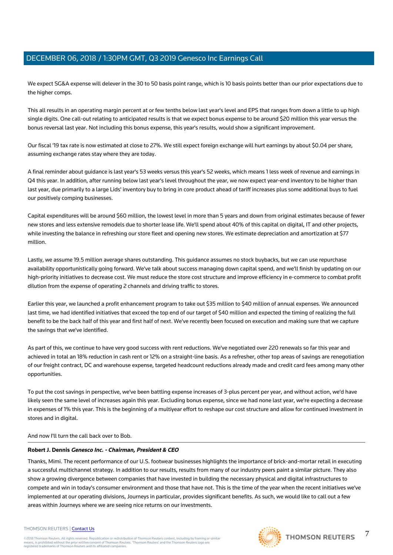We expect SG&A expense will delever in the 30 to 50 basis point range, which is 10 basis points better than our prior expectations due to the higher comps.

This all results in an operating margin percent at or few tenths below last year's level and EPS that ranges from down a little to up high single digits. One call-out relating to anticipated results is that we expect bonus expense to be around \$20 million this year versus the bonus reversal last year. Not including this bonus expense, this year's results, would show a significant improvement.

Our fiscal '19 tax rate is now estimated at close to 27%. We still expect foreign exchange will hurt earnings by about \$0.04 per share, assuming exchange rates stay where they are today.

A final reminder about guidance is last year's 53 weeks versus this year's 52 weeks, which means 1 less week of revenue and earnings in Q4 this year. In addition, after running below last year's level throughout the year, we now expect year-end inventory to be higher than last year, due primarily to a large Lids' inventory buy to bring in core product ahead of tariff increases plus some additional buys to fuel our positively comping businesses.

Capital expenditures will be around \$60 million, the lowest level in more than 5 years and down from original estimates because of fewer new stores and less extensive remodels due to shorter lease life. We'll spend about 40% of this capital on digital, IT and other projects, while investing the balance in refreshing our store fleet and opening new stores. We estimate depreciation and amortization at \$77 million.

Lastly, we assume 19.5 million average shares outstanding. This guidance assumes no stock buybacks, but we can use repurchase availability opportunistically going forward. We've talk about success managing down capital spend, and we'll finish by updating on our high-priority initiatives to decrease cost. We must reduce the store cost structure and improve efficiency in e-commerce to combat profit dilution from the expense of operating 2 channels and driving traffic to stores.

Earlier this year, we launched a profit enhancement program to take out \$35 million to \$40 million of annual expenses. We announced last time, we had identified initiatives that exceed the top end of our target of \$40 million and expected the timing of realizing the full benefit to be the back half of this year and first half of next. We've recently been focused on execution and making sure that we capture the savings that we've identified.

As part of this, we continue to have very good success with rent reductions. We've negotiated over 220 renewals so far this year and achieved in total an 18% reduction in cash rent or 12% on a straight-line basis. As a refresher, other top areas of savings are renegotiation of our freight contract, DC and warehouse expense, targeted headcount reductions already made and credit card fees among many other opportunities.

To put the cost savings in perspective, we've been battling expense increases of 3-plus percent per year, and without action, we'd have likely seen the same level of increases again this year. Excluding bonus expense, since we had none last year, we're expecting a decrease in expenses of 1% this year. This is the beginning of a multiyear effort to reshape our cost structure and allow for continued investment in stores and in digital.

# And now I'll turn the call back over to Bob.

# **Robert J. Dennis Genesco Inc. - Chairman, President & CEO**

Thanks, Mimi. The recent performance of our U.S. footwear businesses highlights the importance of brick-and-mortar retail in executing a successful multichannel strategy. In addition to our results, results from many of our industry peers paint a similar picture. They also show a growing divergence between companies that have invested in building the necessary physical and digital infrastructures to compete and win in today's consumer environment and those that have not. This is the time of the year when the recent initiatives we've implemented at our operating divisions, Journeys in particular, provides significant benefits. As such, we would like to call out a few areas within Journeys where we are seeing nice returns on our investments.

# THOMSON REUTERS | [Contact Us](https://my.thomsonreuters.com/ContactUsNew)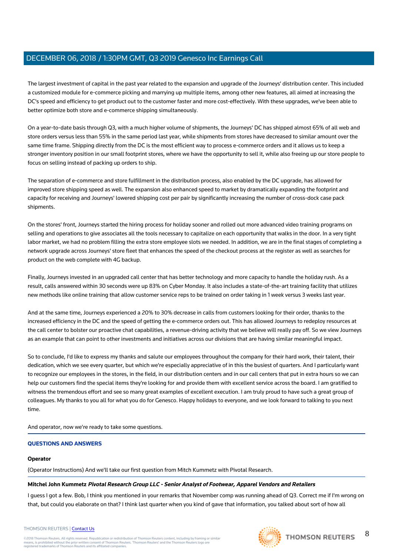The largest investment of capital in the past year related to the expansion and upgrade of the Journeys' distribution center. This included a customized module for e-commerce picking and marrying up multiple items, among other new features, all aimed at increasing the DC's speed and efficiency to get product out to the customer faster and more cost-effectively. With these upgrades, we've been able to better optimize both store and e-commerce shipping simultaneously.

On a year-to-date basis through Q3, with a much higher volume of shipments, the Journeys' DC has shipped almost 65% of all web and store orders versus less than 55% in the same period last year, while shipments from stores have decreased to similar amount over the same time frame. Shipping directly from the DC is the most efficient way to process e-commerce orders and it allows us to keep a stronger inventory position in our small footprint stores, where we have the opportunity to sell it, while also freeing up our store people to focus on selling instead of packing up orders to ship.

The separation of e-commerce and store fulfillment in the distribution process, also enabled by the DC upgrade, has allowed for improved store shipping speed as well. The expansion also enhanced speed to market by dramatically expanding the footprint and capacity for receiving and Journeys' lowered shipping cost per pair by significantly increasing the number of cross-dock case pack shipments.

On the stores' front, Journeys started the hiring process for holiday sooner and rolled out more advanced video training programs on selling and operations to give associates all the tools necessary to capitalize on each opportunity that walks in the door. In a very tight labor market, we had no problem filling the extra store employee slots we needed. In addition, we are in the final stages of completing a network upgrade across Journeys' store fleet that enhances the speed of the checkout process at the register as well as searches for product on the web complete with 4G backup.

Finally, Journeys invested in an upgraded call center that has better technology and more capacity to handle the holiday rush. As a result, calls answered within 30 seconds were up 83% on Cyber Monday. It also includes a state-of-the-art training facility that utilizes new methods like online training that allow customer service reps to be trained on order taking in 1 week versus 3 weeks last year.

And at the same time, Journeys experienced a 20% to 30% decrease in calls from customers looking for their order, thanks to the increased efficiency in the DC and the speed of getting the e-commerce orders out. This has allowed Journeys to redeploy resources at the call center to bolster our proactive chat capabilities, a revenue-driving activity that we believe will really pay off. So we view Journeys as an example that can point to other investments and initiatives across our divisions that are having similar meaningful impact.

So to conclude, I'd like to express my thanks and salute our employees throughout the company for their hard work, their talent, their dedication, which we see every quarter, but which we're especially appreciative of in this the busiest of quarters. And I particularly want to recognize our employees in the stores, in the field, in our distribution centers and in our call centers that put in extra hours so we can help our customers find the special items they're looking for and provide them with excellent service across the board. I am gratified to witness the tremendous effort and see so many great examples of excellent execution. I am truly proud to have such a great group of colleagues. My thanks to you all for what you do for Genesco. Happy holidays to everyone, and we look forward to talking to you next time.

And operator, now we're ready to take some questions.

# **QUESTIONS AND ANSWERS**

# **Operator**

(Operator Instructions) And we'll take our first question from Mitch Kummetz with Pivotal Research.

# **Mitchel John Kummetz Pivotal Research Group LLC - Senior Analyst of Footwear, Apparel Vendors and Retailers**

I guess I got a few. Bob, I think you mentioned in your remarks that November comp was running ahead of Q3. Correct me if I'm wrong on that, but could you elaborate on that? I think last quarter when you kind of gave that information, you talked about sort of how all

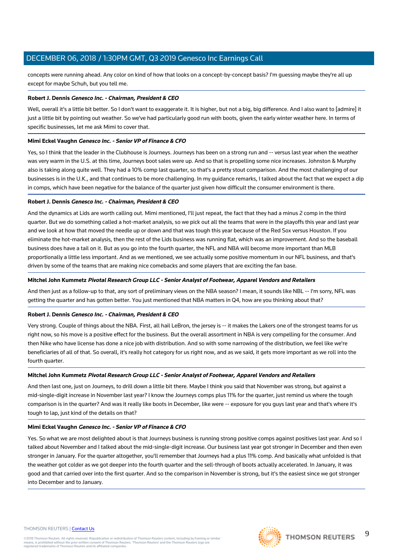concepts were running ahead. Any color on kind of how that looks on a concept-by-concept basis? I'm guessing maybe they're all up except for maybe Schuh, but you tell me.

# **Robert J. Dennis Genesco Inc. - Chairman, President & CEO**

Well, overall it's a little bit better. So I don't want to exaggerate it. It is higher, but not a big, big difference. And I also want to [admire] it just a little bit by pointing out weather. So we've had particularly good run with boots, given the early winter weather here. In terms of specific businesses, let me ask Mimi to cover that.

# **Mimi Eckel Vaughn Genesco Inc. - Senior VP of Finance & CFO**

Yes, so I think that the leader in the Clubhouse is Journeys. Journeys has been on a strong run and -- versus last year when the weather was very warm in the U.S. at this time, Journeys boot sales were up. And so that is propelling some nice increases. Johnston & Murphy also is taking along quite well. They had a 10% comp last quarter, so that's a pretty stout comparison. And the most challenging of our businesses is in the U.K., and that continues to be more challenging. In my guidance remarks, I talked about the fact that we expect a dip in comps, which have been negative for the balance of the quarter just given how difficult the consumer environment is there.

# **Robert J. Dennis Genesco Inc. - Chairman, President & CEO**

And the dynamics at Lids are worth calling out. Mimi mentioned, I'll just repeat, the fact that they had a minus 2 comp in the third quarter. But we do something called a hot-market analysis, so we pick out all the teams that were in the playoffs this year and last year and we look at how that moved the needle up or down and that was tough this year because of the Red Sox versus Houston. If you eliminate the hot-market analysis, then the rest of the Lids business was running flat, which was an improvement. And so the baseball business does have a tail on it. But as you go into the fourth quarter, the NFL and NBA will become more important than MLB proportionally a little less important. And as we mentioned, we see actually some positive momentum in our NFL business, and that's driven by some of the teams that are making nice comebacks and some players that are exciting the fan base.

# **Mitchel John Kummetz Pivotal Research Group LLC - Senior Analyst of Footwear, Apparel Vendors and Retailers**

And then just as a follow-up to that, any sort of preliminary views on the NBA season? I mean, it sounds like NBL -- I'm sorry, NFL was getting the quarter and has gotten better. You just mentioned that NBA matters in Q4, how are you thinking about that?

# **Robert J. Dennis Genesco Inc. - Chairman, President & CEO**

Very strong. Couple of things about the NBA. First, all hail LeBron, the jersey is -- it makes the Lakers one of the strongest teams for us right now, so his move is a positive effect for the business. But the overall assortment in NBA is very compelling for the consumer. And then Nike who have license has done a nice job with distribution. And so with some narrowing of the distribution, we feel like we're beneficiaries of all of that. So overall, it's really hot category for us right now, and as we said, it gets more important as we roll into the fourth quarter.

# **Mitchel John Kummetz Pivotal Research Group LLC - Senior Analyst of Footwear, Apparel Vendors and Retailers**

And then last one, just on Journeys, to drill down a little bit there. Maybe I think you said that November was strong, but against a mid-single-digit increase in November last year? I know the Journeys comps plus 11% for the quarter, just remind us where the tough comparison is in the quarter? And was it really like boots in December, like were -- exposure for you guys last year and that's where it's tough to lap, just kind of the details on that?

# **Mimi Eckel Vaughn Genesco Inc. - Senior VP of Finance & CFO**

Yes. So what we are most delighted about is that Journeys business is running strong positive comps against positives last year. And so I talked about November and I talked about the mid-single-digit increase. Our business last year got stronger in December and then even stronger in January. For the quarter altogether, you'll remember that Journeys had a plus 11% comp. And basically what unfolded is that the weather got colder as we got deeper into the fourth quarter and the sell-through of boots actually accelerated. In January, it was good and that carried over into the first quarter. And so the comparison in November is strong, but it's the easiest since we got stronger into December and to January.

#### THOMSON REUTERS | [Contact Us](https://my.thomsonreuters.com/ContactUsNew)



9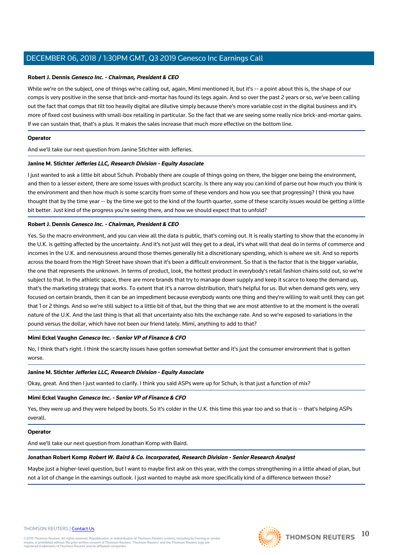## **Robert J. Dennis Genesco Inc. - Chairman, President & CEO**

While we're on the subject, one of things we're calling out, again, Mimi mentioned it, but it's -- a point about this is, the shape of our comps is very positive in the sense that brick-and-mortar has found its legs again. And so over the past 2 years or so, we've been calling out the fact that comps that tilt too heavily digital are dilutive simply because there's more variable cost in the digital business and it's more of fixed cost business with small-box retailing in particular. So the fact that we are seeing some really nice brick-and-mortar gains. If we can sustain that, that's a plus. It makes the sales increase that much more effective on the bottom line.

## **Operator**

And we'll take our next question from Janine Stichter with Jefferies.

## **Janine M. Stichter Jefferies LLC, Research Division - Equity Associate**

I just wanted to ask a little bit about Schuh. Probably there are couple of things going on there, the bigger one being the environment, and then to a lesser extent, there are some issues with product scarcity. Is there any way you can kind of parse out how much you think is the environment and then how much is some scarcity from some of these vendors and how you see that progressing? I think you have thought that by the time year -- by the time we got to the kind of the fourth quarter, some of these scarcity issues would be getting a little bit better. Just kind of the progress you're seeing there, and how we should expect that to unfold?

## **Robert J. Dennis Genesco Inc. - Chairman, President & CEO**

Yes. So the macro environment, and you can view all the data is public, that's coming out. It is really starting to show that the economy in the U.K. is getting affected by the uncertainty. And it's not just will they get to a deal, it's what will that deal do in terms of commerce and incomes in the U.K. and nervousness around those themes generally hit a discretionary spending, which is where we sit. And so reports across the board from the High Street have shown that it's been a difficult environment. So that is the factor that is the bigger variable, the one that represents the unknown. In terms of product, look, the hottest product in everybody's retail fashion chains sold out, so we're subject to that. In the athletic space, there are more brands that try to manage down supply and keep it scarce to keep the demand up, that's the marketing strategy that works. To extent that it's a narrow distribution, that's helpful for us. But when demand gets very, very focused on certain brands, then it can be an impediment because everybody wants one thing and they're willing to wait until they can get that 1 or 2 things. And so we're still subject to a little bit of that, but the thing that we are most attentive to at the moment is the overall nature of the U.K. And the last thing is that all that uncertainty also hits the exchange rate. And so we're exposed to variations in the pound versus the dollar, which have not been our friend lately. Mimi, anything to add to that?

# **Mimi Eckel Vaughn Genesco Inc. - Senior VP of Finance & CFO**

No, I think that's right. I think the scarcity issues have gotten somewhat better and it's just the consumer environment that is gotten worse.

#### **Janine M. Stichter Jefferies LLC, Research Division - Equity Associate**

Okay, great. And then I just wanted to clarify. I think you said ASPs were up for Schuh, is that just a function of mix?

# **Mimi Eckel Vaughn Genesco Inc. - Senior VP of Finance & CFO**

Yes, they were up and they were helped by boots. So it's colder in the U.K. this time this year too and so that is -- that's helping ASPs overall.

#### **Operator**

And we'll take our next question from Jonathan Komp with Baird.

# **Jonathan Robert Komp Robert W. Baird & Co. Incorporated, Research Division - Senior Research Analyst**

Maybe just a higher-level question, but I want to maybe first ask on this year, with the comps strengthening in a little ahead of plan, but not a lot of change in the earnings outlook. I just wanted to maybe ask more specifically kind of a difference between those?

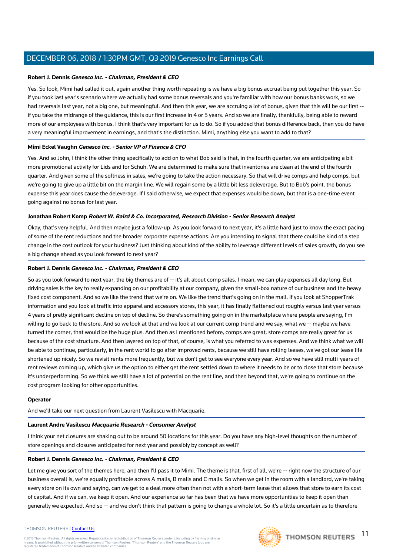## **Robert J. Dennis Genesco Inc. - Chairman, President & CEO**

Yes. So look, Mimi had called it out, again another thing worth repeating is we have a big bonus accrual being put together this year. So if you took last year's scenario where we actually had some bonus reversals and you're familiar with how our bonus banks work, so we had reversals last year, not a big one, but meaningful. And then this year, we are accruing a lot of bonus, given that this will be our first -if you take the midrange of the guidance, this is our first increase in 4 or 5 years. And so we are finally, thankfully, being able to reward more of our employees with bonus. I think that's very important for us to do. So if you added that bonus difference back, then you do have a very meaningful improvement in earnings, and that's the distinction. Mimi, anything else you want to add to that?

# **Mimi Eckel Vaughn Genesco Inc. - Senior VP of Finance & CFO**

Yes. And so John, I think the other thing specifically to add on to what Bob said is that, in the fourth quarter, we are anticipating a bit more promotional activity for Lids and for Schuh. We are determined to make sure that inventories are clean at the end of the fourth quarter. And given some of the softness in sales, we're going to take the action necessary. So that will drive comps and help comps, but we're going to give up a little bit on the margin line. We will regain some by a little bit less deleverage. But to Bob's point, the bonus expense this year does cause the deleverage. If I said otherwise, we expect that expenses would be down, but that is a one-time event going against no bonus for last year.

## **Jonathan Robert Komp Robert W. Baird & Co. Incorporated, Research Division - Senior Research Analyst**

Okay, that's very helpful. And then maybe just a follow-up. As you look forward to next year, it's a little hard just to know the exact pacing of some of the rent reductions and the broader corporate expense actions. Are you intending to signal that there could be kind of a step change in the cost outlook for your business? Just thinking about kind of the ability to leverage different levels of sales growth, do you see a big change ahead as you look forward to next year?

# **Robert J. Dennis Genesco Inc. - Chairman, President & CEO**

So as you look forward to next year, the big themes are of -- it's all about comp sales. I mean, we can play expenses all day long. But driving sales is the key to really expanding on our profitability at our company, given the small-box nature of our business and the heavy fixed cost component. And so we like the trend that we're on. We like the trend that's going on in the mall. If you look at ShopperTrak information and you look at traffic into apparel and accessory stores, this year, it has finally flattened out roughly versus last year versus 4 years of pretty significant decline on top of decline. So there's something going on in the marketplace where people are saying, I'm willing to go back to the store. And so we look at that and we look at our current comp trend and we say, what we -- maybe we have turned the corner, that would be the huge plus. And then as I mentioned before, comps are great, store comps are really great for us because of the cost structure. And then layered on top of that, of course, is what you referred to was expenses. And we think what we will be able to continue, particularly, in the rent world to go after improved rents, because we still have rolling leases, we've got our lease life shortened up nicely. So we revisit rents more frequently, but we don't get to see everyone every year. And so we have still multi-years of rent reviews coming up, which give us the option to either get the rent settled down to where it needs to be or to close that store because it's underperforming. So we think we still have a lot of potential on the rent line, and then beyond that, we're going to continue on the cost program looking for other opportunities.

#### **Operator**

And we'll take our next question from Laurent Vasilescu with Macquarie.

# **Laurent Andre Vasilescu Macquarie Research - Consumer Analyst**

I think your net closures are shaking out to be around 50 locations for this year. Do you have any high-level thoughts on the number of store openings and closures anticipated for next year and possibly by concept as well?

# **Robert J. Dennis Genesco Inc. - Chairman, President & CEO**

Let me give you sort of the themes here, and then I'll pass it to Mimi. The theme is that, first of all, we're -- right now the structure of our business overall is, we're equally profitable across A malls, B malls and C malls. So when we get in the room with a landlord, we're taking every store on its own and saying, can we get to a deal more often than not with a short-term lease that allows that store to earn its cost of capital. And if we can, we keep it open. And our experience so far has been that we have more opportunities to keep it open than generally we expected. And so -- and we don't think that pattern is going to change a whole lot. So it's a little uncertain as to therefore

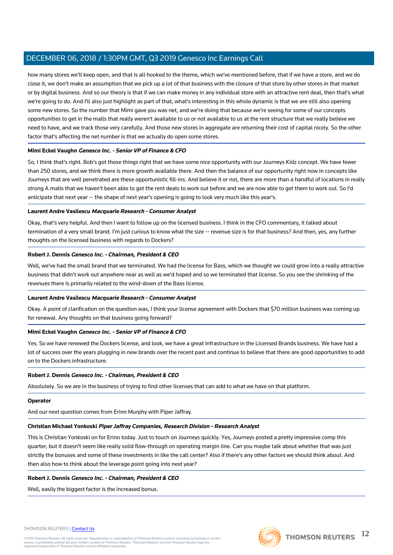how many stores we'll keep open, and that is all hooked to the theme, which we've mentioned before, that if we have a store, and we do close it, we don't make an assumption that we pick up a lot of that business with the closure of that store by other stores in that market or by digital business. And so our theory is that if we can make money in any individual store with an attractive rent deal, then that's what we're going to do. And I'll also just highlight as part of that, what's interesting in this whole dynamic is that we are still also opening some new stores. So the number that Mimi gave you was net, and we're doing that because we're seeing for some of our concepts opportunities to get in the malls that really weren't available to us or not available to us at the rent structure that we really believe we need to have, and we track those very carefully. And those new stores in aggregate are returning their cost of capital nicely. So the other factor that's affecting the net number is that we actually do open some stores.

# **Mimi Eckel Vaughn Genesco Inc. - Senior VP of Finance & CFO**

So, I think that's right. Bob's got those things right that we have some nice opportunity with our Journeys Kidz concept. We have fewer than 250 stores, and we think there is more growth available there. And then the balance of our opportunity right now in concepts like Journeys that are well penetrated are these opportunistic fill-ins. And believe it or not, there are more than a handful of locations in really strong A malls that we haven't been able to get the rent deals to work out before and we are now able to get them to work out. So I'd anticipate that next year -- the shape of next year's opening is going to look very much like this year's.

# **Laurent Andre Vasilescu Macquarie Research - Consumer Analyst**

Okay, that's very helpful. And then I want to follow up on the licensed business. I think in the CFO commentary, it talked about termination of a very small brand. I'm just curious to know what the size -- revenue size is for that business? And then, yes, any further thoughts on the licensed business with regards to Dockers?

# **Robert J. Dennis Genesco Inc. - Chairman, President & CEO**

Well, we've had the small brand that we terminated. We had the license for Bass, which we thought we could grow into a really attractive business that didn't work out anywhere near as well as we'd hoped and so we terminated that license. So you see the shrinking of the revenues there is primarily related to the wind-down of the Bass license.

# **Laurent Andre Vasilescu Macquarie Research - Consumer Analyst**

Okay. A point of clarification on the question was, I think your license agreement with Dockers that \$70 million business was coming up for renewal. Any thoughts on that business going forward?

# **Mimi Eckel Vaughn Genesco Inc. - Senior VP of Finance & CFO**

Yes. So we have renewed the Dockers license, and look, we have a great infrastructure in the Licensed Brands business. We have had a lot of success over the years plugging in new brands over the recent past and continue to believe that there are good opportunities to add on to the Dockers infrastructure.

# **Robert J. Dennis Genesco Inc. - Chairman, President & CEO**

Absolutely. So we are in the business of trying to find other licenses that can add to what we have on that platform.

# **Operator**

And our next question comes from Erinn Murphy with Piper Jaffray.

# **Christian Michael Yonkoski Piper Jaffray Companies, Research Division - Research Analyst**

This is Christian Yonkoski on for Erinn today. Just to touch on Journeys quickly. Yes, Journeys posted a pretty impressive comp this quarter, but it doesn't seem like really solid flow-through on operating margin line. Can you maybe talk about whether that was just strictly the bonuses and some of these investments in like the call center? Also if there's any other factors we should think about. And then also how to think about the leverage point going into next year?

# **Robert J. Dennis Genesco Inc. - Chairman, President & CEO**

Well, easily the biggest factor is the increased bonus.

#### THOMSON REUTERS | [Contact Us](https://my.thomsonreuters.com/ContactUsNew)

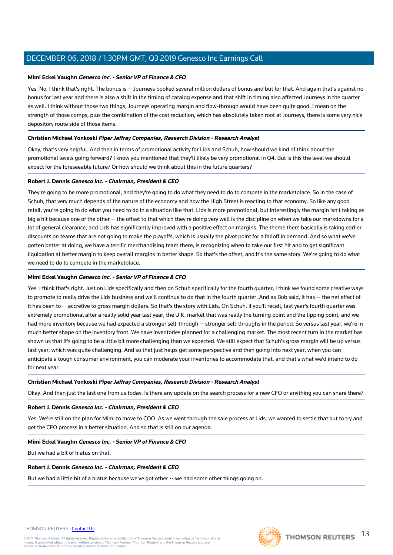# **Mimi Eckel Vaughn Genesco Inc. - Senior VP of Finance & CFO**

Yes. No, I think that's right. The bonus is -- Journeys booked several million dollars of bonus and but for that. And again that's against no bonus for last year and there is also a shift in the timing of catalog expense and that shift in timing also affected Journeys in the quarter as well. I think without those two things, Journeys operating margin and flow-through would have been quite good. I mean on the strength of those comps, plus the combination of the cost reduction, which has absolutely taken root at Journeys, there is some very nice depository route side of those items.

# **Christian Michael Yonkoski Piper Jaffray Companies, Research Division - Research Analyst**

Okay, that's very helpful. And then in terms of promotional activity for Lids and Schuh, how should we kind of think about the promotional levels going forward? I know you mentioned that they'll likely be very promotional in Q4. But is this the level we should expect for the foreseeable future? Or how should we think about this in the future quarters?

# **Robert J. Dennis Genesco Inc. - Chairman, President & CEO**

They're going to be more promotional, and they're going to do what they need to do to compete in the marketplace. So in the case of Schuh, that very much depends of the nature of the economy and how the High Street is reacting to that economy. So like any good retail, you're going to do what you need to do in a situation like that. Lids is more promotional, but interestingly the margin isn't taking as big a hit because one of the other -- the offset to that which they're doing very well is the discipline on when we take our markdowns for a lot of general clearance, and Lids has significantly improved with a positive effect on margins. The theme there basically is taking earlier discounts on teams that are not going to make the playoffs, which is usually the pivot point for a falloff in demand. And so what we've gotten better at doing, we have a terrific merchandising team there, is recognizing when to take our first hit and to get significant liquidation at better margin to keep overall margins in better shape. So that's the offset, and it's the same story. We're going to do what we need to do to compete in the marketplace.

# **Mimi Eckel Vaughn Genesco Inc. - Senior VP of Finance & CFO**

Yes. I think that's right. Just on Lids specifically and then on Schuh specifically for the fourth quarter, I think we found some creative ways to promote to really drive the Lids business and we'll continue to do that in the fourth quarter. And as Bob said, it has -- the net effect of it has been to -- accretive to gross margin dollars. So that's the story with Lids. On Schuh, if you'll recall, last year's fourth quarter was extremely promotional after a really solid year last year, the U.K. market that was really the turning point and the tipping point, and we had more inventory because we had expected a stronger sell-through -- stronger sell-throughs in the period. So versus last year, we're in much better shape on the inventory front. We have inventories planned for a challenging market. The most recent turn in the market has shown us that it's going to be a little bit more challenging than we expected. We still expect that Schuh's gross margin will be up versus last year, which was quite challenging. And so that just helps get some perspective and then going into next year, when you can anticipate a tough consumer environment, you can moderate your inventories to accommodate that, and that's what we'd intend to do for next year.

# **Christian Michael Yonkoski Piper Jaffray Companies, Research Division - Research Analyst**

Okay. And then just the last one from us today. Is there any update on the search process for a new CFO or anything you can share there?

# **Robert J. Dennis Genesco Inc. - Chairman, President & CEO**

Yes. We're still on the plan for Mimi to move to COO. As we went through the sale process at Lids, we wanted to settle that out to try and get the CFO process in a better situation. And so that is still on our agenda.

# **Mimi Eckel Vaughn Genesco Inc. - Senior VP of Finance & CFO**

But we had a bit of hiatus on that.

# **Robert J. Dennis Genesco Inc. - Chairman, President & CEO**

But we had a little bit of a hiatus because we've got other -- we had some other things going on.